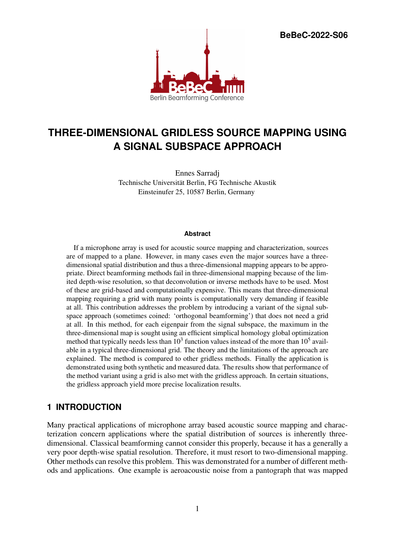**BeBeC-2022-S06**



# **THREE-DIMENSIONAL GRIDLESS SOURCE MAPPING USING A SIGNAL SUBSPACE APPROACH**

Ennes Sarradj Technische Universität Berlin, FG Technische Akustik Einsteinufer 25, 10587 Berlin, Germany

#### **Abstract**

If a microphone array is used for acoustic source mapping and characterization, sources are of mapped to a plane. However, in many cases even the major sources have a threedimensional spatial distribution and thus a three-dimensional mapping appears to be appropriate. Direct beamforming methods fail in three-dimensional mapping because of the limited depth-wise resolution, so that deconvolution or inverse methods have to be used. Most of these are grid-based and computationally expensive. This means that three-dimensional mapping requiring a grid with many points is computationally very demanding if feasible at all. This contribution addresses the problem by introducing a variant of the signal subspace approach (sometimes coined: 'orthogonal beamforming') that does not need a grid at all. In this method, for each eigenpair from the signal subspace, the maximum in the three-dimensional map is sought using an efficient simplical homology global optimization method that typically needs less than  $10<sup>3</sup>$  function values instead of the more than  $10<sup>5</sup>$  available in a typical three-dimensional grid. The theory and the limitations of the approach are explained. The method is compared to other gridless methods. Finally the application is demonstrated using both synthetic and measured data. The results show that performance of the method variant using a grid is also met with the gridless approach. In certain situations, the gridless approach yield more precise localization results.

# **1 INTRODUCTION**

Many practical applications of microphone array based acoustic source mapping and characterization concern applications where the spatial distribution of sources is inherently threedimensional. Classical beamforming cannot consider this properly, because it has a generally a very poor depth-wise spatial resolution. Therefore, it must resort to two-dimensional mapping. Other methods can resolve this problem. This was demonstrated for a number of different methods and applications. One example is aeroacoustic noise from a pantograph that was mapped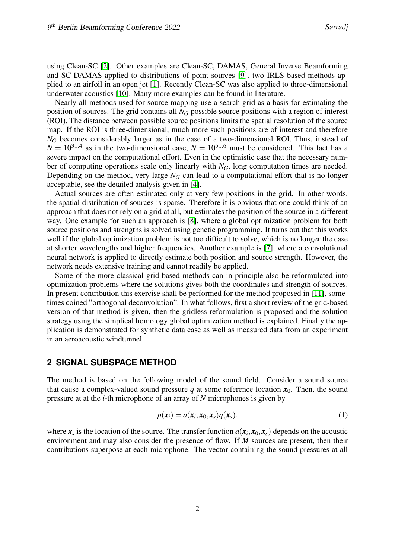using Clean-SC [\[2\]](#page-9-0). Other examples are Clean-SC, DAMAS, General Inverse Beamforming and SC-DAMAS applied to distributions of point sources [\[9\]](#page-9-1), two IRLS based methods applied to an airfoil in an open jet [\[1\]](#page-9-2). Recently Clean-SC was also applied to three-dimensional underwater acoustics [\[10\]](#page-10-0). Many more examples can be found in literature.

Nearly all methods used for source mapping use a search grid as a basis for estimating the position of sources. The grid contains all *N<sup>G</sup>* possible source positions with a region of interest (ROI). The distance between possible source positions limits the spatial resolution of the source map. If the ROI is three-dimensional, much more such positions are of interest and therefore *N<sub>G</sub>* becomes considerably larger as in the case of a two-dimensional ROI. Thus, instead of  $N = 10^{3...4}$  as in the two-dimensional case,  $N = 10^{5...6}$  must be considered. This fact has a severe impact on the computational effort. Even in the optimistic case that the necessary number of computing operations scale only linearly with *NG*, long computation times are needed. Depending on the method, very large  $N<sub>G</sub>$  can lead to a computational effort that is no longer acceptable, see the detailed analysis given in [\[4\]](#page-9-3).

Actual sources are often estimated only at very few positions in the grid. In other words, the spatial distribution of sources is sparse. Therefore it is obvious that one could think of an approach that does not rely on a grid at all, but estimates the position of the source in a different way. One example for such an approach is [\[8\]](#page-9-4), where a global optimization problem for both source positions and strengths is solved using genetic programming. It turns out that this works well if the global optimization problem is not too difficult to solve, which is no longer the case at shorter wavelengths and higher frequencies. Another example is [\[7\]](#page-9-5), where a convolutional neural network is applied to directly estimate both position and source strength. However, the network needs extensive training and cannot readily be applied.

Some of the more classical grid-based methods can in principle also be reformulated into optimization problems where the solutions gives both the coordinates and strength of sources. In present contribution this exercise shall be performed for the method proposed in [\[11\]](#page-10-1), sometimes coined "orthogonal deconvolution". In what follows, first a short review of the grid-based version of that method is given, then the gridless reformulation is proposed and the solution strategy using the simplical homology global optimization method is explained. Finally the application is demonstrated for synthetic data case as well as measured data from an experiment in an aeroacoustic windtunnel.

# **2 SIGNAL SUBSPACE METHOD**

The method is based on the following model of the sound field. Consider a sound source that cause a complex-valued sound pressure *q* at some reference location  $x_0$ . Then, the sound pressure at at the *i*-th microphone of an array of *N* microphones is given by

$$
p(\mathbf{x}_i) = a(\mathbf{x}_i, \mathbf{x}_0, \mathbf{x}_s) q(\mathbf{x}_s).
$$
 (1)

where  $x_s$  is the location of the source. The transfer function  $a(x_i, x_0, x_s)$  depends on the acoustic environment and may also consider the presence of flow. If *M* sources are present, then their contributions superpose at each microphone. The vector containing the sound pressures at all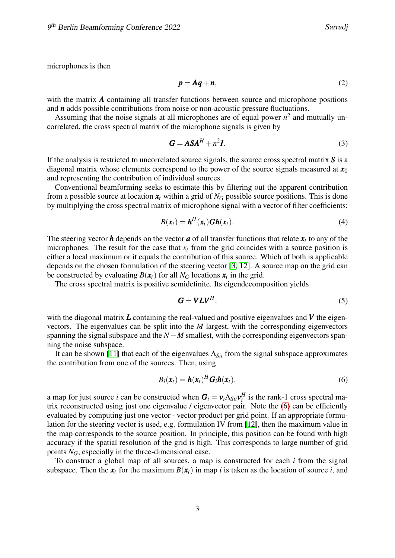microphones is then

$$
p = Aq + n,\tag{2}
$$

with the matrix **A** containing all transfer functions between source and microphone positions and *n* adds possible contributions from noise or non-acoustic pressure fluctuations.

Assuming that the noise signals at all microphones are of equal power  $n^2$  and mutually uncorrelated, the cross spectral matrix of the microphone signals is given by

$$
G = ASAH + n2I.
$$
 (3)

If the analysis is restricted to uncorrelated source signals, the source cross spectral matrix *S* is a diagonal matrix whose elements correspond to the power of the source signals measured at  $x_0$ and representing the contribution of individual sources.

Conventional beamforming seeks to estimate this by filtering out the apparent contribution from a possible source at location  $x_t$  within a grid of  $N_G$  possible source positions. This is done by multiplying the cross spectral matrix of microphone signal with a vector of filter coefficients:

$$
B(\mathbf{x}_t) = \mathbf{h}^H(\mathbf{x}_t) \mathbf{G} \mathbf{h}(\mathbf{x}_t).
$$
 (4)

The steering vector  $h$  depends on the vector  $a$  of all transfer functions that relate  $x_t$  to any of the microphones. The result for the case that  $x_t$  from the grid coincides with a source position is either a local maximum or it equals the contribution of this source. Which of both is applicable depends on the chosen formulation of the steering vector [\[3,](#page-9-6) [12\]](#page-10-2). A source map on the grid can be constructed by evaluating  $B(\mathbf{x}_t)$  for all  $N_G$  locations  $\mathbf{x}_t$  in the grid.

The cross spectral matrix is positive semidefinite. Its eigendecomposition yields

<span id="page-2-0"></span>
$$
G = VLV^H. \tag{5}
$$

with the diagonal matrix  $\boldsymbol{L}$  containing the real-valued and positive eigenvalues and  $\boldsymbol{V}$  the eigenvectors. The eigenvalues can be split into the *M* largest, with the corresponding eigenvectors spanning the signal subspace and the *N* − *M* smallest, with the corresponding eigenvectors spanning the noise subspace.

It can be shown [\[11\]](#page-10-1) that each of the eigenvalues  $\Lambda_{Sii}$  from the signal subspace approximates the contribution from one of the sources. Then, using

$$
B_i(\mathbf{x}_t) = \mathbf{h}(\mathbf{x}_t)^H \mathbf{G}_i \mathbf{h}(\mathbf{x}_t).
$$
 (6)

a map for just source *i* can be constructed when  $G_i = v_i \Lambda_{Sii} v_i^H$  is the rank-1 cross spectral matrix reconstructed using just one eigenvalue / eigenvector pair. Note the [\(6\)](#page-2-0) can be efficiently evaluated by computing just one vector - vector product per grid point. If an appropriate formulation for the steering vector is used, e.g. formulation IV from [\[12\]](#page-10-2), then the maximum value in the map corresponds to the source position. In principle, this position can be found with high accuracy if the spatial resolution of the grid is high. This corresponds to large number of grid points  $N_G$ , especially in the three-dimensional case.

To construct a global map of all sources, a map is constructed for each *i* from the signal subspace. Then the  $x_t$  for the maximum  $B(x_t)$  in map *i* is taken as the location of source *i*, and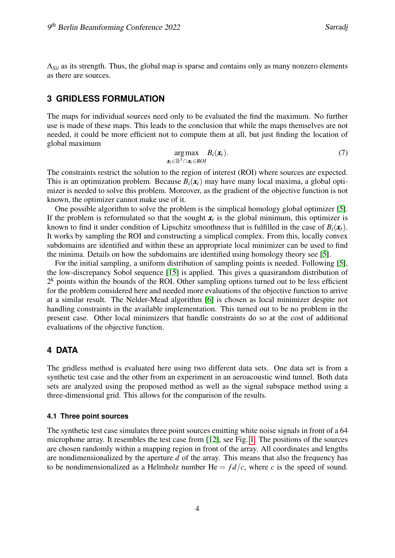Λ*Sii* as its strength. Thus, the global map is sparse and contains only as many nonzero elements as there are sources.

### **3 GRIDLESS FORMULATION**

The maps for individual sources need only to be evaluated the find the maximum. No further use is made of these maps. This leads to the conclusion that while the maps themselves are not needed, it could be more efficient not to compute them at all, but just finding the location of global maximum

$$
\underset{\mathbf{x}_t \in \mathbb{R}^3 \cap \mathbf{x}_t \in ROI}{\arg \max} B_i(\mathbf{x}_t). \tag{7}
$$

The constraints restrict the solution to the region of interest (ROI) where sources are expected. This is an optimization problem. Because  $B_i(x_t)$  may have many local maxima, a global optimizer is needed to solve this problem. Moreover, as the gradient of the objective function is not known, the optimizer cannot make use of it.

One possible algorithm to solve the problem is the simplical homology global optimizer [\[5\]](#page-9-7). If the problem is reformulated so that the sought  $x_t$  is the global minimum, this optimizer is known to find it under condition of Lipschitz smoothness that is fulfilled in the case of  $B_i(\mathbf{x}_t)$ . It works by sampling the ROI and constructing a simplical complex. From this, locally convex subdomains are identified and within these an appropriate local minimizer can be used to find the minima. Details on how the subdomains are identified using homology theory see [\[5\]](#page-9-7).

For the initial sampling, a uniform distribution of sampling points is needed. Following [\[5\]](#page-9-7), the low-discrepancy Sobol sequence [\[15\]](#page-10-3) is applied. This gives a quasirandom distribution of  $2<sup>k</sup>$  points within the bounds of the ROI. Other sampling options turned out to be less efficient for the problem considered here and needed more evaluations of the objective function to arrive at a similar result. The Nelder-Mead algorithm [\[6\]](#page-9-8) is chosen as local minimizer despite not handling constraints in the available implementation. This turned out to be no problem in the present case. Other local minimizers that handle constraints do so at the cost of additional evaluations of the objective function.

### **4 DATA**

The gridless method is evaluated here using two different data sets. One data set is from a synthetic test case and the other from an experiment in an aeroacoustic wind tunnel. Both data sets are analyzed using the proposed method as well as the signal subspace method using a three-dimensional grid. This allows for the comparison of the results.

#### **4.1 Three point sources**

The synthetic test case simulates three point sources emitting white noise signals in front of a 64 microphone array. It resembles the test case from [\[12\]](#page-10-2), see Fig. [1.](#page-4-0) The positions of the sources are chosen randomly within a mapping region in front of the array. All coordinates and lengths are nondimensionalized by the aperture *d* of the array. This means that also the frequency has to be nondimensionalized as a Helmholz number  $He = fd/c$ , where *c* is the speed of sound.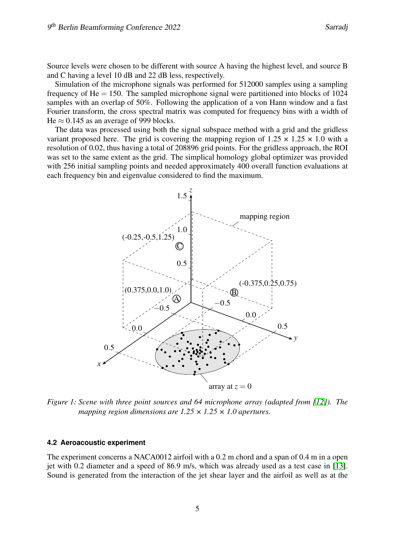Source levels were chosen to be different with source A having the highest level, and source B and C having a level 10 dB and 22 dB less, respectively.

Simulation of the microphone signals was performed for 512000 samples using a sampling frequency of  $He = 150$ . The sampled microphone signal were partitioned into blocks of 1024 samples with an overlap of 50%. Following the application of a von Hann window and a fast Fourier transform, the cross spectral matrix was computed for frequency bins with a width of He  $\approx$  0.145 as an average of 999 blocks.

The data was processed using both the signal subspace method with a grid and the gridless variant proposed here. The grid is covering the mapping region of  $1.25 \times 1.25 \times 1.0$  with a resolution of 0.02, thus having a total of 208896 grid points. For the gridless approach, the ROI was set to the same extent as the grid. The simplical homology global optimizer was provided with 256 initial sampling points and needed approximately 400 overall function evaluations at each frequency bin and eigenvalue considered to find the maximum.



<span id="page-4-0"></span>*Figure 1: Scene with three point sources and 64 microphone array (adapted from [\[12\]](#page-10-2)). The mapping region dimensions are 1.25 × 1.25 × 1.0 apertures.*

#### **4.2 Aeroacoustic experiment**

The experiment concerns a NACA0012 airfoil with a 0.2 m chord and a span of 0.4 m in a open jet with 0.2 diameter and a speed of 86.9 m/s, which was already used as a test case in [\[13\]](#page-10-4). Sound is generated from the interaction of the jet shear layer and the airfoil as well as at the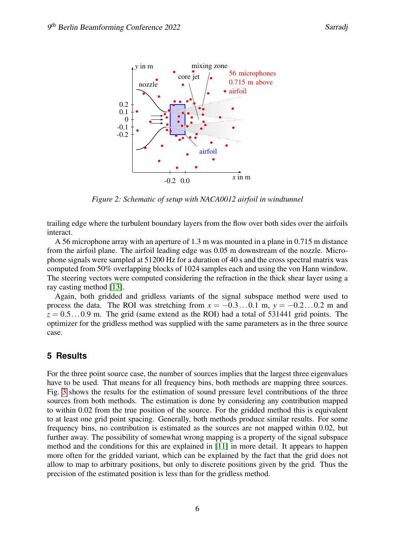

*Figure 2: Schematic of setup with NACA0012 airfoil in windtunnel*

trailing edge where the turbulent boundary layers from the flow over both sides over the airfoils interact.

A 56 microphone array with an aperture of 1.3 m was mounted in a plane in 0.715 m distance from the airfoil plane. The airfoil leading edge was 0.05 m downstream of the nozzle. Microphone signals were sampled at 51200 Hz for a duration of 40 s and the cross spectral matrix was computed from 50% overlapping blocks of 1024 samples each and using the von Hann window. The steering vectors were computed considering the refraction in the thick shear layer using a ray casting method [\[13\]](#page-10-4).

Again, both gridded and gridless variants of the signal subspace method were used to process the data. The ROI was stretching from  $x = -0.3...0.1$  m,  $y = -0.2...0.2$  m and  $z = 0.5...0.9$  m. The grid (same extend as the ROI) had a total of 531441 grid points. The optimizer for the gridless method was supplied with the same parameters as in the three source case.

# **5 Results**

For the three point source case, the number of sources implies that the largest three eigenvalues have to be used. That means for all frequency bins, both methods are mapping three sources. Fig. [3](#page-6-0) shows the results for the estimation of sound pressure level contributions of the three sources from both methods. The estimation is done by considering any contribution mapped to within 0.02 from the true position of the source. For the gridded method this is equivalent to at least one grid point spacing. Generally, both methods produce similar results. For some frequency bins, no contribution is estimated as the sources are not mapped within 0.02, but further away. The possibility of somewhat wrong mapping is a property of the signal subspace method and the conditions for this are explained in [\[11\]](#page-10-1) in more detail. It appears to happen more often for the gridded variant, which can be explained by the fact that the grid does not allow to map to arbitrary positions, but only to discrete positions given by the grid. Thus the precision of the estimated position is less than for the gridless method.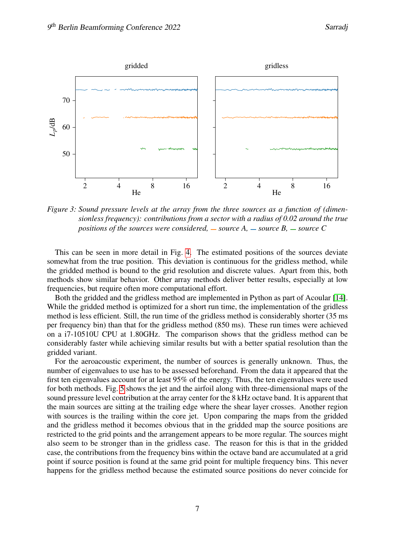

<span id="page-6-0"></span>*Figure 3: Sound pressure levels at the array from the three sources as a function of (dimensionless frequency): contributions from a sector with a radius of 0.02 around the true positions of the sources were considered,*  $\overline{\phantom{a}}$  *source A,*  $\overline{\phantom{a}}$  *source C* 

This can be seen in more detail in Fig. [4.](#page-7-0) The estimated positions of the sources deviate somewhat from the true position. This deviation is continuous for the gridless method, while the gridded method is bound to the grid resolution and discrete values. Apart from this, both methods show similar behavior. Other array methods deliver better results, especially at low frequencies, but require often more computational effort.

Both the gridded and the gridless method are implemented in Python as part of Acoular [\[14\]](#page-10-5). While the gridded method is optimized for a short run time, the implementation of the gridless method is less efficient. Still, the run time of the gridless method is considerably shorter (35 ms per frequency bin) than that for the gridless method (850 ms). These run times were achieved on a i7-10510U CPU at 1.80GHz. The comparison shows that the gridless method can be considerably faster while achieving similar results but with a better spatial resolution than the gridded variant.

For the aeroacoustic experiment, the number of sources is generally unknown. Thus, the number of eigenvalues to use has to be assessed beforehand. From the data it appeared that the first ten eigenvalues account for at least 95% of the energy. Thus, the ten eigenvalues were used for both methods. Fig. [5](#page-8-0) shows the jet and the airfoil along with three-dimensional maps of the sound pressure level contribution at the array center for the 8 kHz octave band. It is apparent that the main sources are sitting at the trailing edge where the shear layer crosses. Another region with sources is the trailing within the core jet. Upon comparing the maps from the gridded and the gridless method it becomes obvious that in the gridded map the source positions are restricted to the grid points and the arrangement appears to be more regular. The sources might also seem to be stronger than in the gridless case. The reason for this is that in the gridded case, the contributions from the frequency bins within the octave band are accumulated at a grid point if source position is found at the same grid point for multiple frequency bins. This never happens for the gridless method because the estimated source positions do never coincide for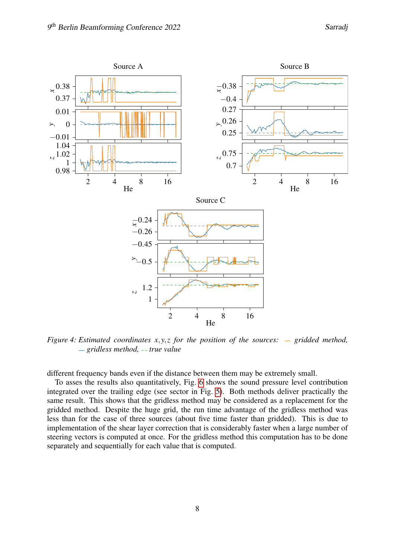

<span id="page-7-0"></span>*Figure 4: Estimated coordinates x,y,z for the position of the sources:*  $\overline{\phantom{a}}$  gridded method,  $g = gridless method, -true value$ 

different frequency bands even if the distance between them may be extremely small.

To asses the results also quantitatively, Fig. [6](#page-8-1) shows the sound pressure level contribution integrated over the trailing edge (see sector in Fig. [5\)](#page-8-0). Both methods deliver practically the same result. This shows that the gridless method may be considered as a replacement for the gridded method. Despite the huge grid, the run time advantage of the gridless method was less than for the case of three sources (about five time faster than gridded). This is due to implementation of the shear layer correction that is considerably faster when a large number of steering vectors is computed at once. For the gridless method this computation has to be done separately and sequentially for each value that is computed.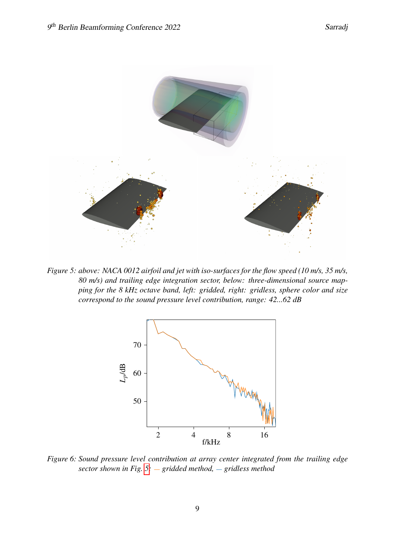

<span id="page-8-0"></span>*Figure 5: above: NACA 0012 airfoil and jet with iso-surfaces for the flow speed (10 m/s, 35 m/s, 80 m/s) and trailing edge integration sector, below: three-dimensional source mapping for the 8 kHz octave band, left: gridded, right: gridless, sphere color and size correspond to the sound pressure level contribution, range: 42...62 dB*



<span id="page-8-1"></span>*Figure 6: Sound pressure level contribution at array center integrated from the trailing edge sector shown in Fig.* [5:](#page-8-0)  $-$  *gridded method,*  $-$  *gridless method*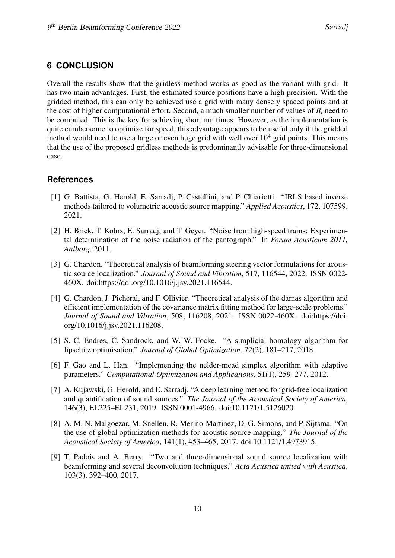## **6 CONCLUSION**

Overall the results show that the gridless method works as good as the variant with grid. It has two main advantages. First, the estimated source positions have a high precision. With the gridded method, this can only be achieved use a grid with many densely spaced points and at the cost of higher computational effort. Second, a much smaller number of values of  $B_i$  need to be computed. This is the key for achieving short run times. However, as the implementation is quite cumbersome to optimize for speed, this advantage appears to be useful only if the gridded method would need to use a large or even huge grid with well over  $10<sup>4</sup>$  grid points. This means that the use of the proposed gridless methods is predominantly advisable for three-dimensional case.

## **References**

- <span id="page-9-2"></span>[1] G. Battista, G. Herold, E. Sarradj, P. Castellini, and P. Chiariotti. "IRLS based inverse methods tailored to volumetric acoustic source mapping." *Applied Acoustics*, 172, 107599, 2021.
- <span id="page-9-0"></span>[2] H. Brick, T. Kohrs, E. Sarradj, and T. Geyer. "Noise from high-speed trains: Experimental determination of the noise radiation of the pantograph." In *Forum Acusticum 2011, Aalborg*. 2011.
- <span id="page-9-6"></span>[3] G. Chardon. "Theoretical analysis of beamforming steering vector formulations for acoustic source localization." *Journal of Sound and Vibration*, 517, 116544, 2022. ISSN 0022- 460X. doi:https://doi.org/10.1016/j.jsv.2021.116544.
- <span id="page-9-3"></span>[4] G. Chardon, J. Picheral, and F. Ollivier. "Theoretical analysis of the damas algorithm and efficient implementation of the covariance matrix fitting method for large-scale problems." *Journal of Sound and Vibration*, 508, 116208, 2021. ISSN 0022-460X. doi:https://doi. org/10.1016/j.jsv.2021.116208.
- <span id="page-9-7"></span>[5] S. C. Endres, C. Sandrock, and W. W. Focke. "A simplicial homology algorithm for lipschitz optimisation." *Journal of Global Optimization*, 72(2), 181–217, 2018.
- <span id="page-9-8"></span>[6] F. Gao and L. Han. "Implementing the nelder-mead simplex algorithm with adaptive parameters." *Computational Optimization and Applications*, 51(1), 259–277, 2012.
- <span id="page-9-5"></span>[7] A. Kujawski, G. Herold, and E. Sarradj. "A deep learning method for grid-free localization and quantification of sound sources." *The Journal of the Acoustical Society of America*, 146(3), EL225–EL231, 2019. ISSN 0001-4966. doi:10.1121/1.5126020.
- <span id="page-9-4"></span>[8] A. M. N. Malgoezar, M. Snellen, R. Merino-Martinez, D. G. Simons, and P. Sijtsma. "On the use of global optimization methods for acoustic source mapping." *The Journal of the Acoustical Society of America*, 141(1), 453–465, 2017. doi:10.1121/1.4973915.
- <span id="page-9-1"></span>[9] T. Padois and A. Berry. "Two and three-dimensional sound source localization with beamforming and several deconvolution techniques." *Acta Acustica united with Acustica*, 103(3), 392–400, 2017.